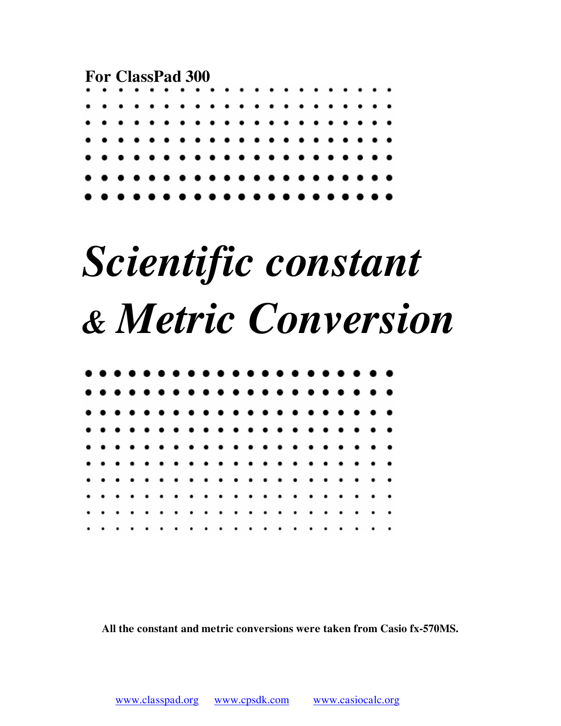**For ClassPad 300** 



# *Scientific constant & Metric Conversion*

**All the constant and metric conversions were taken from Casio fx-570MS.**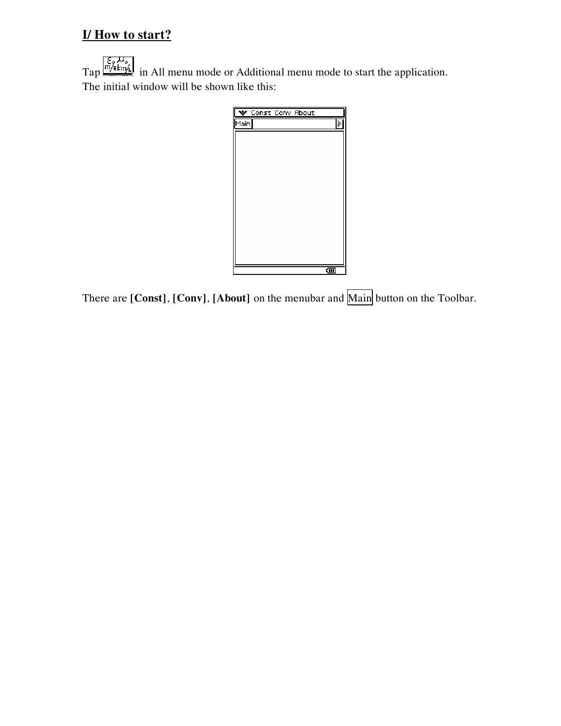## **I/ How to start?**

 $\text{Tap}$   $\frac{\varepsilon_{\circ} D_{\circ}}{\ln |\mathcal{A}| \cdot \ln |\mathcal{A}|}$  in All menu mode or Additional menu mode to start the application. The initial window will be shown like this:



There are **[Const]**, **[Conv]**, **[About]** on the menubar and Main button on the Toolbar.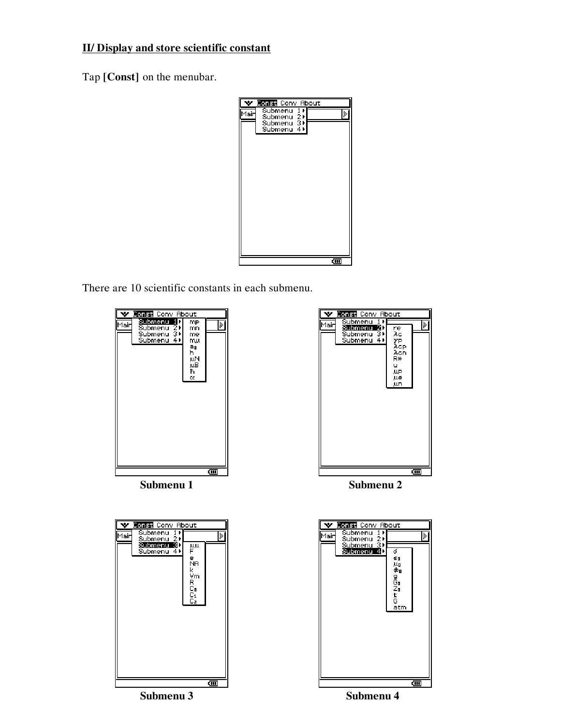#### **II/ Display and store scientific constant**

Tap **[Const]** on the menubar.



There are 10 scientific constants in each submenu.





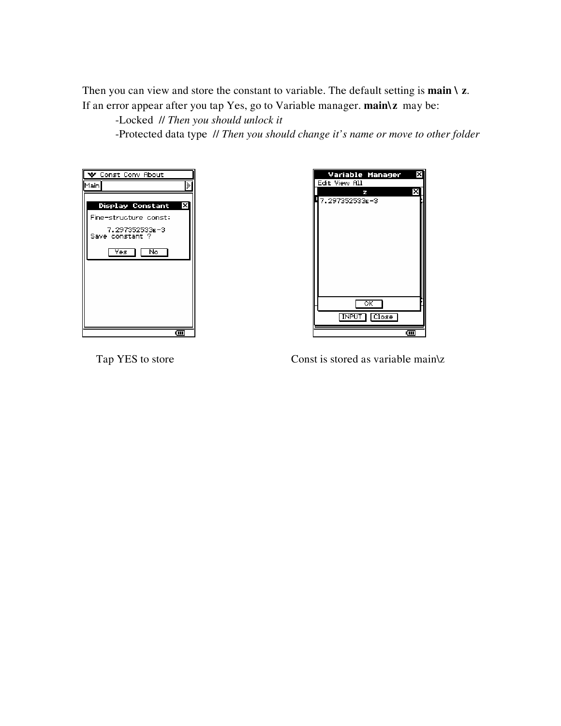Then you can view and store the constant to variable. The default setting is **main \ z**. If an error appear after you tap Yes, go to Variable manager. **main\z** may be:

-Locked // *Then you should unlock it*

-Protected data type // *Then you should change it's name or move to other folder*

| $\blacktriangleright$ Const Conv About |       |
|----------------------------------------|-------|
| Main                                   |       |
|                                        |       |
| Display Constant                       |       |
| Fine-structure const:                  |       |
| 7.297352533E-3<br>Save constant ?      |       |
|                                        |       |
| Νō<br>Yes                              |       |
|                                        |       |
|                                        |       |
|                                        |       |
|                                        |       |
|                                        |       |
|                                        |       |
|                                        |       |
|                                        | द्गा। |



Tap YES to store Const is stored as variable main\z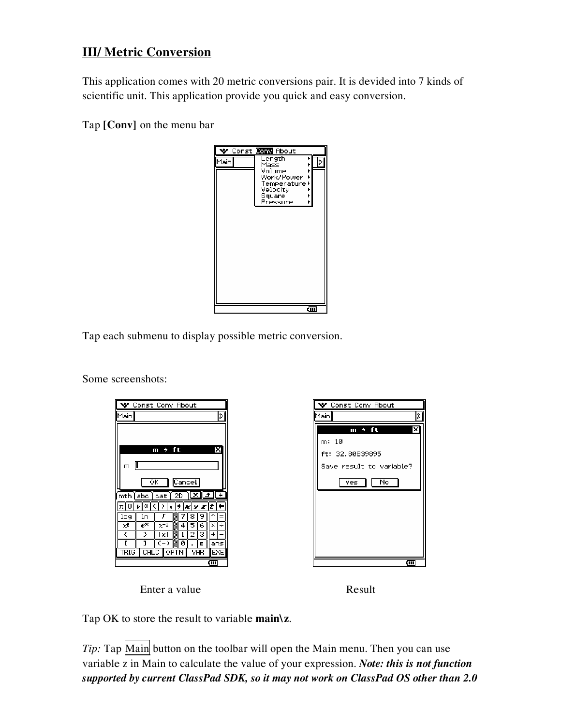### **III/ Metric Conversion**

This application comes with 20 metric conversions pair. It is devided into 7 kinds of scientific unit. This application provide you quick and easy conversion.

Tap **[Conv]** on the menu bar



Tap each submenu to display possible metric conversion.

Some screenshots:

|                             |                             | $\blacktriangleright$ Const Conv About |        |   |          |       |   |
|-----------------------------|-----------------------------|----------------------------------------|--------|---|----------|-------|---|
| Main                        |                             |                                        |        |   |          |       | 3 |
|                             |                             |                                        |        |   |          |       |   |
|                             |                             |                                        |        |   |          |       |   |
|                             |                             | m → ft                                 |        |   |          |       |   |
|                             |                             |                                        |        |   |          |       |   |
| m                           | Г                           |                                        |        |   |          |       |   |
|                             |                             |                                        |        |   |          |       |   |
|                             | ΟK                          |                                        | Cancel |   |          |       |   |
| $\overline{\text{mth}}$ abc |                             | cat                                    | 2D     | × | <b>f</b> |       | ↴ |
| Θ<br>π                      | $\boldsymbol{\omega}$<br>i. | ¢<br>∋                                 | ⇒      |   | x y z    | ١t    |   |
| log                         | ln                          | J                                      |        | 8 |          |       |   |
| $x^2$                       | $e^\times$                  | $x^{-1}$                               | 4      |   |          | ×     |   |
| €                           | J.                          | l×l                                    |        |   | з        |       |   |
| г                           | נ                           | (-)                                    | ø      |   | E        | ans   |   |
| TRIG                        | CALC                        |                                        | OPTN   |   | VAR      | EXE   |   |
|                             |                             |                                        |        |   |          | द्गा। |   |

| $\blacktriangledown$ Const Conv About |
|---------------------------------------|
| Main                                  |
| m → ft                                |
| m: 10                                 |
| ft: 32.80839895                       |
| Save result to variable?              |
| No<br>Yes.                            |
|                                       |
|                                       |
|                                       |
|                                       |
|                                       |
| द्या                                  |



Tap OK to store the result to variable **main\z**.

*Tip*: Tap Main button on the toolbar will open the Main menu. Then you can use variable z in Main to calculate the value of your expression. *Note: this is not function supported by current ClassPad SDK, so it may not work on ClassPad OS other than 2.0*